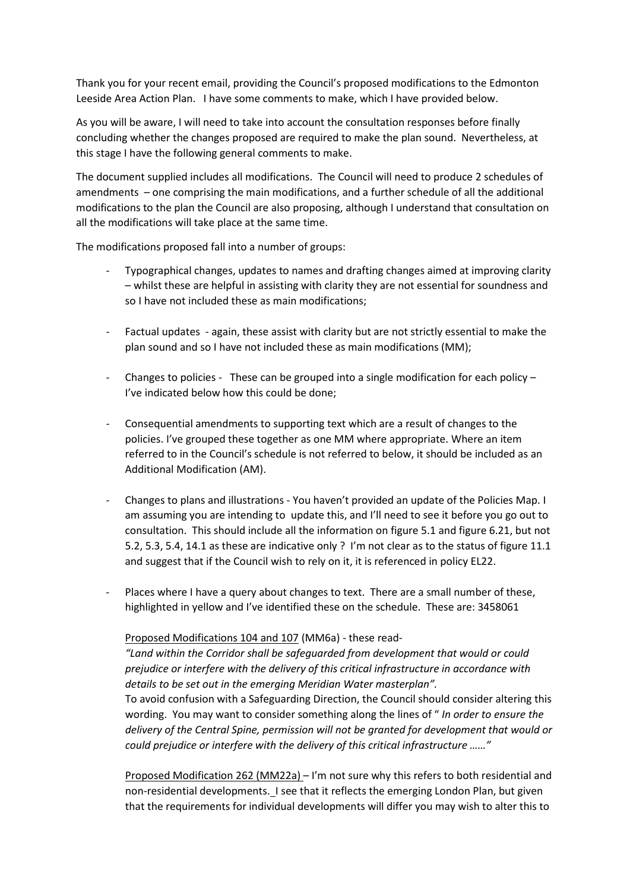Thank you for your recent email, providing the Council's proposed modifications to the Edmonton Leeside Area Action Plan. I have some comments to make, which I have provided below.

As you will be aware, I will need to take into account the consultation responses before finally concluding whether the changes proposed are required to make the plan sound. Nevertheless, at this stage I have the following general comments to make.

The document supplied includes all modifications. The Council will need to produce 2 schedules of amendments – one comprising the main modifications, and a further schedule of all the additional modifications to the plan the Council are also proposing, although I understand that consultation on all the modifications will take place at the same time.

The modifications proposed fall into a number of groups:

- Typographical changes, updates to names and drafting changes aimed at improving clarity – whilst these are helpful in assisting with clarity they are not essential for soundness and so I have not included these as main modifications;
- Factual updates again, these assist with clarity but are not strictly essential to make the plan sound and so I have not included these as main modifications (MM);
- Changes to policies These can be grouped into a single modification for each policy  $-$ I've indicated below how this could be done;
- Consequential amendments to supporting text which are a result of changes to the policies. I've grouped these together as one MM where appropriate. Where an item referred to in the Council's schedule is not referred to below, it should be included as an Additional Modification (AM).
- Changes to plans and illustrations You haven't provided an update of the Policies Map. I am assuming you are intending to update this, and I'll need to see it before you go out to consultation. This should include all the information on figure 5.1 and figure 6.21, but not 5.2, 5.3, 5.4, 14.1 as these are indicative only ? I'm not clear as to the status of figure 11.1 and suggest that if the Council wish to rely on it, it is referenced in policy EL22.
- Places where I have a query about changes to text. There are a small number of these, highlighted in yellow and I've identified these on the schedule. These are: 3458061

## Proposed Modifications 104 and 107 (MM6a) - these read-

*"Land within the Corridor shall be safeguarded from development that would or could prejudice or interfere with the delivery of this critical infrastructure in accordance with details to be set out in the emerging Meridian Water masterplan".* 

To avoid confusion with a Safeguarding Direction, the Council should consider altering this wording. You may want to consider something along the lines of " *In order to ensure the delivery of the Central Spine, permission will not be granted for development that would or could prejudice or interfere with the delivery of this critical infrastructure ……"*

Proposed Modification 262 (MM22a) – I'm not sure why this refers to both residential and non-residential developments. I see that it reflects the emerging London Plan, but given that the requirements for individual developments will differ you may wish to alter this to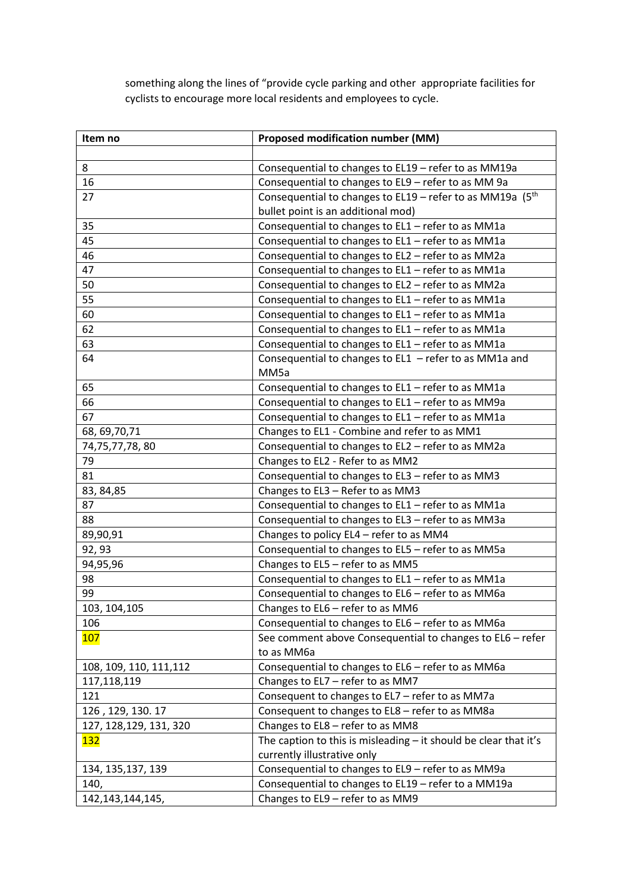something along the lines of "provide cycle parking and other appropriate facilities for cyclists to encourage more local residents and employees to cycle.

| Item no                 | <b>Proposed modification number (MM)</b>                           |
|-------------------------|--------------------------------------------------------------------|
|                         |                                                                    |
| 8                       | Consequential to changes to EL19 - refer to as MM19a               |
| 16                      | Consequential to changes to EL9 - refer to as MM 9a                |
| 27                      | Consequential to changes to EL19 - refer to as MM19a $(5th$        |
|                         | bullet point is an additional mod)                                 |
| 35                      | Consequential to changes to EL1 - refer to as MM1a                 |
| 45                      | Consequential to changes to EL1 - refer to as MM1a                 |
| 46                      | Consequential to changes to EL2 - refer to as MM2a                 |
| 47                      | Consequential to changes to EL1 - refer to as MM1a                 |
| 50                      | Consequential to changes to EL2 - refer to as MM2a                 |
| 55                      | Consequential to changes to EL1 - refer to as MM1a                 |
| 60                      | Consequential to changes to EL1 - refer to as MM1a                 |
| 62                      | Consequential to changes to EL1 - refer to as MM1a                 |
| 63                      | Consequential to changes to EL1 - refer to as MM1a                 |
| 64                      | Consequential to changes to $ELI - refer$ to as MM1a and           |
|                         | MM5a                                                               |
| 65                      | Consequential to changes to EL1 - refer to as MM1a                 |
| 66                      | Consequential to changes to EL1 - refer to as MM9a                 |
| 67                      | Consequential to changes to EL1 - refer to as MM1a                 |
| 68, 69, 70, 71          | Changes to EL1 - Combine and refer to as MM1                       |
| 74,75,77,78,80          | Consequential to changes to EL2 - refer to as MM2a                 |
| 79                      | Changes to EL2 - Refer to as MM2                                   |
| 81                      | Consequential to changes to EL3 - refer to as MM3                  |
| 83, 84, 85              | Changes to EL3 - Refer to as MM3                                   |
| 87                      | Consequential to changes to EL1 - refer to as MM1a                 |
| 88                      | Consequential to changes to EL3 - refer to as MM3a                 |
| 89,90,91                | Changes to policy EL4 - refer to as MM4                            |
| 92, 93                  | Consequential to changes to EL5 - refer to as MM5a                 |
| 94,95,96                | Changes to EL5 - refer to as MM5                                   |
| 98                      | Consequential to changes to EL1 - refer to as MM1a                 |
| 99                      | Consequential to changes to EL6 - refer to as MM6a                 |
| 103, 104, 105           | Changes to EL6 - refer to as MM6                                   |
| 106                     | Consequential to changes to EL6 - refer to as MM6a                 |
| 107                     | See comment above Consequential to changes to EL6 - refer          |
|                         | to as MM6a                                                         |
| 108, 109, 110, 111, 112 | Consequential to changes to EL6 - refer to as MM6a                 |
| 117,118,119             | Changes to EL7 - refer to as MM7                                   |
| 121                     | Consequent to changes to EL7 - refer to as MM7a                    |
| 126, 129, 130. 17       | Consequent to changes to EL8 - refer to as MM8a                    |
| 127, 128, 129, 131, 320 | Changes to EL8 - refer to as MM8                                   |
| <u> 132</u>             | The caption to this is misleading $-$ it should be clear that it's |
|                         | currently illustrative only                                        |
| 134, 135, 137, 139      | Consequential to changes to EL9 - refer to as MM9a                 |
| 140,                    | Consequential to changes to EL19 - refer to a MM19a                |
| 142, 143, 144, 145,     | Changes to EL9 - refer to as MM9                                   |